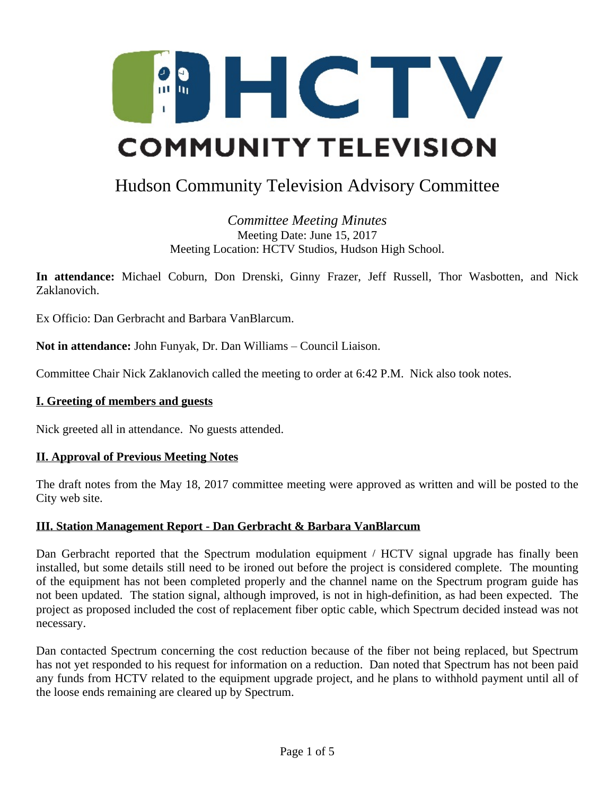

# Hudson Community Television Advisory Committee

*Committee Meeting Minutes* Meeting Date: June 15, 2017 Meeting Location: HCTV Studios, Hudson High School.

**In attendance:** Michael Coburn, Don Drenski, Ginny Frazer, Jeff Russell, Thor Wasbotten, and Nick Zaklanovich.

Ex Officio: Dan Gerbracht and Barbara VanBlarcum.

**Not in attendance:** John Funyak, Dr. Dan Williams – Council Liaison.

Committee Chair Nick Zaklanovich called the meeting to order at 6:42 P.M. Nick also took notes.

### **I. Greeting of members and guests**

Nick greeted all in attendance. No guests attended.

### **II. Approval of Previous Meeting Notes**

The draft notes from the May 18, 2017 committee meeting were approved as written and will be posted to the City web site.

### **III. Station Management Report - Dan Gerbracht & Barbara VanBlarcum**

Dan Gerbracht reported that the Spectrum modulation equipment / HCTV signal upgrade has finally been installed, but some details still need to be ironed out before the project is considered complete. The mounting of the equipment has not been completed properly and the channel name on the Spectrum program guide has not been updated. The station signal, although improved, is not in high-definition, as had been expected. The project as proposed included the cost of replacement fiber optic cable, which Spectrum decided instead was not necessary.

Dan contacted Spectrum concerning the cost reduction because of the fiber not being replaced, but Spectrum has not yet responded to his request for information on a reduction. Dan noted that Spectrum has not been paid any funds from HCTV related to the equipment upgrade project, and he plans to withhold payment until all of the loose ends remaining are cleared up by Spectrum.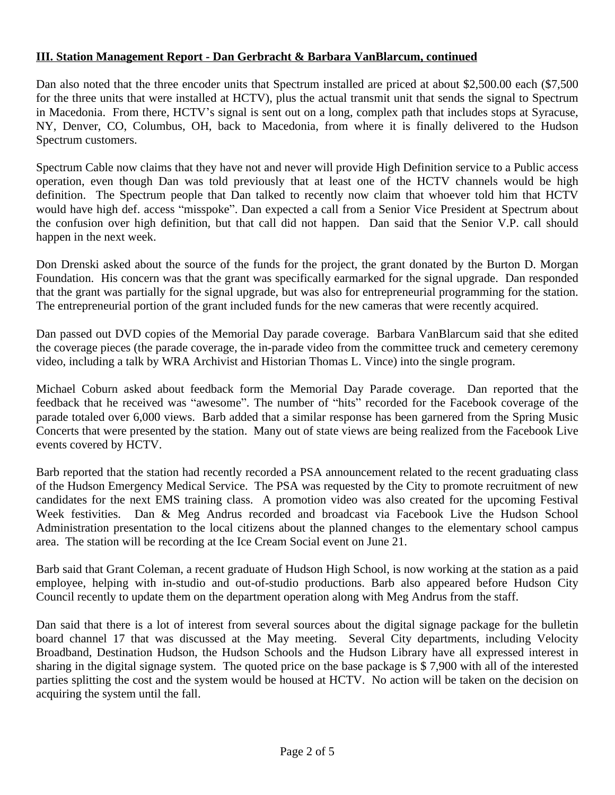## **III. Station Management Report - Dan Gerbracht & Barbara VanBlarcum, continued**

Dan also noted that the three encoder units that Spectrum installed are priced at about \$2,500.00 each (\$7,500 for the three units that were installed at HCTV), plus the actual transmit unit that sends the signal to Spectrum in Macedonia. From there, HCTV's signal is sent out on a long, complex path that includes stops at Syracuse, NY, Denver, CO, Columbus, OH, back to Macedonia, from where it is finally delivered to the Hudson Spectrum customers.

Spectrum Cable now claims that they have not and never will provide High Definition service to a Public access operation, even though Dan was told previously that at least one of the HCTV channels would be high definition. The Spectrum people that Dan talked to recently now claim that whoever told him that HCTV would have high def. access "misspoke". Dan expected a call from a Senior Vice President at Spectrum about the confusion over high definition, but that call did not happen. Dan said that the Senior V.P. call should happen in the next week.

Don Drenski asked about the source of the funds for the project, the grant donated by the Burton D. Morgan Foundation. His concern was that the grant was specifically earmarked for the signal upgrade. Dan responded that the grant was partially for the signal upgrade, but was also for entrepreneurial programming for the station. The entrepreneurial portion of the grant included funds for the new cameras that were recently acquired.

Dan passed out DVD copies of the Memorial Day parade coverage. Barbara VanBlarcum said that she edited the coverage pieces (the parade coverage, the in-parade video from the committee truck and cemetery ceremony video, including a talk by WRA Archivist and Historian Thomas L. Vince) into the single program.

Michael Coburn asked about feedback form the Memorial Day Parade coverage. Dan reported that the feedback that he received was "awesome". The number of "hits" recorded for the Facebook coverage of the parade totaled over 6,000 views. Barb added that a similar response has been garnered from the Spring Music Concerts that were presented by the station. Many out of state views are being realized from the Facebook Live events covered by HCTV.

Barb reported that the station had recently recorded a PSA announcement related to the recent graduating class of the Hudson Emergency Medical Service. The PSA was requested by the City to promote recruitment of new candidates for the next EMS training class. A promotion video was also created for the upcoming Festival Week festivities. Dan & Meg Andrus recorded and broadcast via Facebook Live the Hudson School Administration presentation to the local citizens about the planned changes to the elementary school campus area. The station will be recording at the Ice Cream Social event on June 21.

Barb said that Grant Coleman, a recent graduate of Hudson High School, is now working at the station as a paid employee, helping with in-studio and out-of-studio productions. Barb also appeared before Hudson City Council recently to update them on the department operation along with Meg Andrus from the staff.

Dan said that there is a lot of interest from several sources about the digital signage package for the bulletin board channel 17 that was discussed at the May meeting. Several City departments, including Velocity Broadband, Destination Hudson, the Hudson Schools and the Hudson Library have all expressed interest in sharing in the digital signage system. The quoted price on the base package is \$ 7,900 with all of the interested parties splitting the cost and the system would be housed at HCTV. No action will be taken on the decision on acquiring the system until the fall.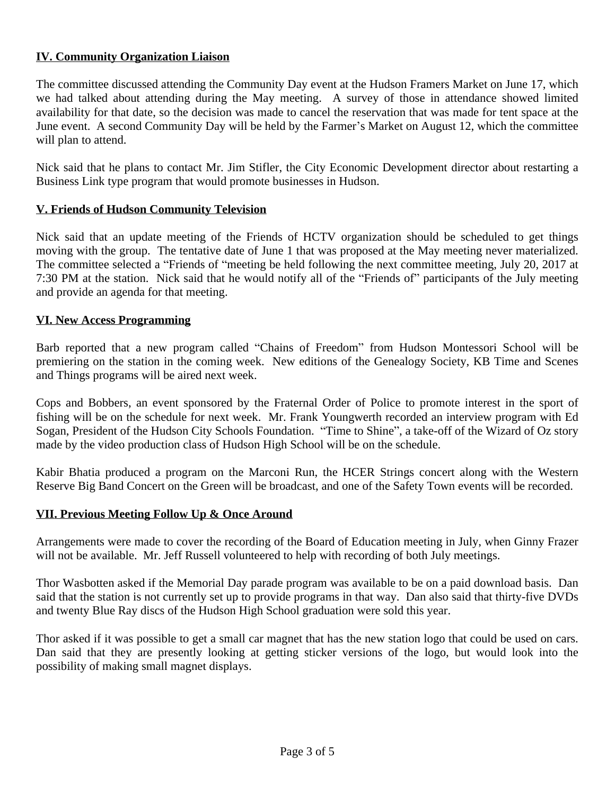## **IV. Community Organization Liaison**

The committee discussed attending the Community Day event at the Hudson Framers Market on June 17, which we had talked about attending during the May meeting. A survey of those in attendance showed limited availability for that date, so the decision was made to cancel the reservation that was made for tent space at the June event. A second Community Day will be held by the Farmer's Market on August 12, which the committee will plan to attend.

Nick said that he plans to contact Mr. Jim Stifler, the City Economic Development director about restarting a Business Link type program that would promote businesses in Hudson.

## **V. Friends of Hudson Community Television**

Nick said that an update meeting of the Friends of HCTV organization should be scheduled to get things moving with the group. The tentative date of June 1 that was proposed at the May meeting never materialized. The committee selected a "Friends of "meeting be held following the next committee meeting, July 20, 2017 at 7:30 PM at the station. Nick said that he would notify all of the "Friends of" participants of the July meeting and provide an agenda for that meeting.

## **VI. New Access Programming**

Barb reported that a new program called "Chains of Freedom" from Hudson Montessori School will be premiering on the station in the coming week. New editions of the Genealogy Society, KB Time and Scenes and Things programs will be aired next week.

Cops and Bobbers, an event sponsored by the Fraternal Order of Police to promote interest in the sport of fishing will be on the schedule for next week. Mr. Frank Youngwerth recorded an interview program with Ed Sogan, President of the Hudson City Schools Foundation. "Time to Shine", a take-off of the Wizard of Oz story made by the video production class of Hudson High School will be on the schedule.

Kabir Bhatia produced a program on the Marconi Run, the HCER Strings concert along with the Western Reserve Big Band Concert on the Green will be broadcast, and one of the Safety Town events will be recorded.

### **VII. Previous Meeting Follow Up & Once Around**

Arrangements were made to cover the recording of the Board of Education meeting in July, when Ginny Frazer will not be available. Mr. Jeff Russell volunteered to help with recording of both July meetings.

Thor Wasbotten asked if the Memorial Day parade program was available to be on a paid download basis. Dan said that the station is not currently set up to provide programs in that way. Dan also said that thirty-five DVDs and twenty Blue Ray discs of the Hudson High School graduation were sold this year.

Thor asked if it was possible to get a small car magnet that has the new station logo that could be used on cars. Dan said that they are presently looking at getting sticker versions of the logo, but would look into the possibility of making small magnet displays.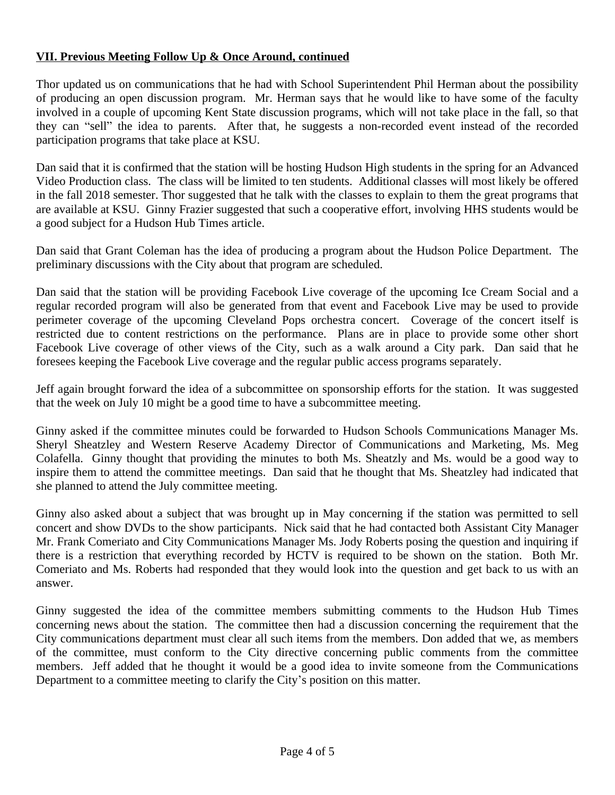# **VII. Previous Meeting Follow Up & Once Around, continued**

Thor updated us on communications that he had with School Superintendent Phil Herman about the possibility of producing an open discussion program. Mr. Herman says that he would like to have some of the faculty involved in a couple of upcoming Kent State discussion programs, which will not take place in the fall, so that they can "sell" the idea to parents. After that, he suggests a non-recorded event instead of the recorded participation programs that take place at KSU.

Dan said that it is confirmed that the station will be hosting Hudson High students in the spring for an Advanced Video Production class. The class will be limited to ten students. Additional classes will most likely be offered in the fall 2018 semester. Thor suggested that he talk with the classes to explain to them the great programs that are available at KSU. Ginny Frazier suggested that such a cooperative effort, involving HHS students would be a good subject for a Hudson Hub Times article.

Dan said that Grant Coleman has the idea of producing a program about the Hudson Police Department. The preliminary discussions with the City about that program are scheduled.

Dan said that the station will be providing Facebook Live coverage of the upcoming Ice Cream Social and a regular recorded program will also be generated from that event and Facebook Live may be used to provide perimeter coverage of the upcoming Cleveland Pops orchestra concert. Coverage of the concert itself is restricted due to content restrictions on the performance. Plans are in place to provide some other short Facebook Live coverage of other views of the City, such as a walk around a City park. Dan said that he foresees keeping the Facebook Live coverage and the regular public access programs separately.

Jeff again brought forward the idea of a subcommittee on sponsorship efforts for the station. It was suggested that the week on July 10 might be a good time to have a subcommittee meeting.

Ginny asked if the committee minutes could be forwarded to Hudson Schools Communications Manager Ms. Sheryl Sheatzley and Western Reserve Academy Director of Communications and Marketing, Ms. Meg Colafella. Ginny thought that providing the minutes to both Ms. Sheatzly and Ms. would be a good way to inspire them to attend the committee meetings. Dan said that he thought that Ms. Sheatzley had indicated that she planned to attend the July committee meeting.

Ginny also asked about a subject that was brought up in May concerning if the station was permitted to sell concert and show DVDs to the show participants. Nick said that he had contacted both Assistant City Manager Mr. Frank Comeriato and City Communications Manager Ms. Jody Roberts posing the question and inquiring if there is a restriction that everything recorded by HCTV is required to be shown on the station. Both Mr. Comeriato and Ms. Roberts had responded that they would look into the question and get back to us with an answer.

Ginny suggested the idea of the committee members submitting comments to the Hudson Hub Times concerning news about the station. The committee then had a discussion concerning the requirement that the City communications department must clear all such items from the members. Don added that we, as members of the committee, must conform to the City directive concerning public comments from the committee members. Jeff added that he thought it would be a good idea to invite someone from the Communications Department to a committee meeting to clarify the City's position on this matter.